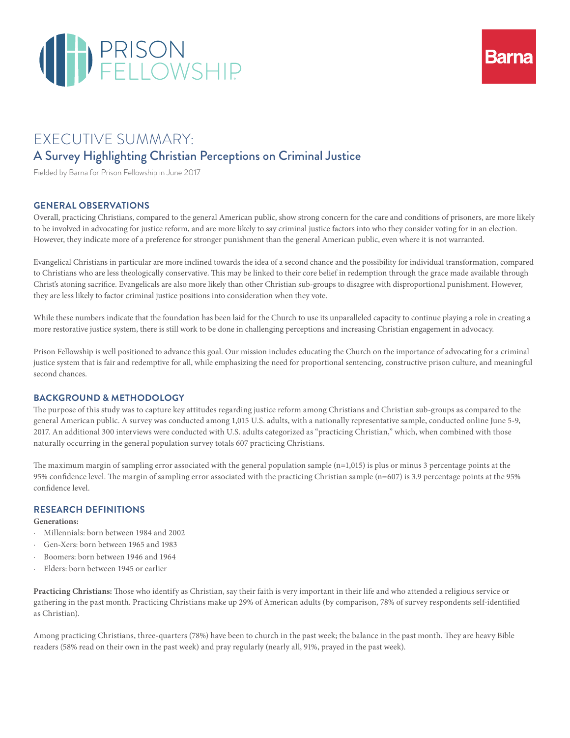



# EXECUTIVE SUMMARY: A Survey Highlighting Christian Perceptions on Criminal Justice

Fielded by Barna for Prison Fellowship in June 2017

#### **GENERAL OBSERVATIONS**

Overall, practicing Christians, compared to the general American public, show strong concern for the care and conditions of prisoners, are more likely to be involved in advocating for justice reform, and are more likely to say criminal justice factors into who they consider voting for in an election. However, they indicate more of a preference for stronger punishment than the general American public, even where it is not warranted.

Evangelical Christians in particular are more inclined towards the idea of a second chance and the possibility for individual transformation, compared to Christians who are less theologically conservative. This may be linked to their core belief in redemption through the grace made available through Christ's atoning sacrifice. Evangelicals are also more likely than other Christian sub-groups to disagree with disproportional punishment. However, they are less likely to factor criminal justice positions into consideration when they vote.

While these numbers indicate that the foundation has been laid for the Church to use its unparalleled capacity to continue playing a role in creating a more restorative justice system, there is still work to be done in challenging perceptions and increasing Christian engagement in advocacy.

Prison Fellowship is well positioned to advance this goal. Our mission includes educating the Church on the importance of advocating for a criminal justice system that is fair and redemptive for all, while emphasizing the need for proportional sentencing, constructive prison culture, and meaningful second chances.

#### **BACKGROUND & METHODOLOGY**

The purpose of this study was to capture key attitudes regarding justice reform among Christians and Christian sub-groups as compared to the general American public. A survey was conducted among 1,015 U.S. adults, with a nationally representative sample, conducted online June 5-9, 2017. An additional 300 interviews were conducted with U.S. adults categorized as "practicing Christian," which, when combined with those naturally occurring in the general population survey totals 607 practicing Christians.

The maximum margin of sampling error associated with the general population sample (n=1,015) is plus or minus 3 percentage points at the 95% confidence level. The margin of sampling error associated with the practicing Christian sample (n=607) is 3.9 percentage points at the 95% confidence level.

#### **RESEARCH DEFINITIONS**

#### **Generations:**

- · Millennials: born between 1984 and 2002
- · Gen-Xers: born between 1965 and 1983
- · Boomers: born between 1946 and 1964
- Elders: born between 1945 or earlier

**Practicing Christians:** Those who identify as Christian, say their faith is very important in their life and who attended a religious service or gathering in the past month. Practicing Christians make up 29% of American adults (by comparison, 78% of survey respondents self-identified as Christian).

Among practicing Christians, three-quarters (78%) have been to church in the past week; the balance in the past month. They are heavy Bible readers (58% read on their own in the past week) and pray regularly (nearly all, 91%, prayed in the past week).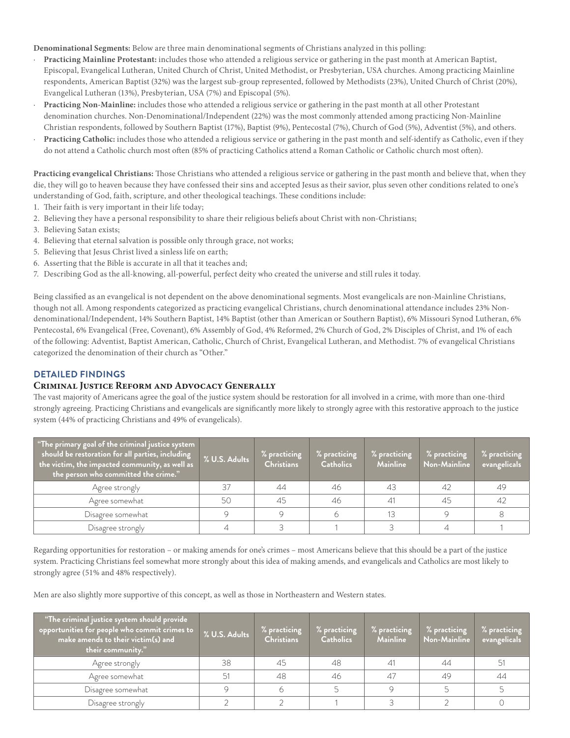**Denominational Segments:** Below are three main denominational segments of Christians analyzed in this polling:

- · **Practicing Mainline Protestant:** includes those who attended a religious service or gathering in the past month at American Baptist, Episcopal, Evangelical Lutheran, United Church of Christ, United Methodist, or Presbyterian, USA churches. Among practicing Mainline respondents, American Baptist (32%) was the largest sub-group represented, followed by Methodists (23%), United Church of Christ (20%), Evangelical Lutheran (13%), Presbyterian, USA (7%) and Episcopal (5%).
- · **Practicing Non-Mainline:** includes those who attended a religious service or gathering in the past month at all other Protestant denomination churches. Non-Denominational/Independent (22%) was the most commonly attended among practicing Non-Mainline Christian respondents, followed by Southern Baptist (17%), Baptist (9%), Pentecostal (7%), Church of God (5%), Adventist (5%), and others.
- Practicing Catholic: includes those who attended a religious service or gathering in the past month and self-identify as Catholic, even if they do not attend a Catholic church most often (85% of practicing Catholics attend a Roman Catholic or Catholic church most often).

**Practicing evangelical Christians:** Those Christians who attended a religious service or gathering in the past month and believe that, when they die, they will go to heaven because they have confessed their sins and accepted Jesus as their savior, plus seven other conditions related to one's understanding of God, faith, scripture, and other theological teachings. These conditions include:

- 1. Their faith is very important in their life today;
- 2. Believing they have a personal responsibility to share their religious beliefs about Christ with non-Christians;
- 3. Believing Satan exists;
- 4. Believing that eternal salvation is possible only through grace, not works;
- 5. Believing that Jesus Christ lived a sinless life on earth;
- 6. Asserting that the Bible is accurate in all that it teaches and;
- 7. Describing God as the all-knowing, all-powerful, perfect deity who created the universe and still rules it today.

Being classified as an evangelical is not dependent on the above denominational segments. Most evangelicals are non-Mainline Christians, though not all. Among respondents categorized as practicing evangelical Christians, church denominational attendance includes 23% Nondenominational/Independent, 14% Southern Baptist, 14% Baptist (other than American or Southern Baptist), 6% Missouri Synod Lutheran, 6% Pentecostal, 6% Evangelical (Free, Covenant), 6% Assembly of God, 4% Reformed, 2% Church of God, 2% Disciples of Christ, and 1% of each of the following: Adventist, Baptist American, Catholic, Church of Christ, Evangelical Lutheran, and Methodist. 7% of evangelical Christians categorized the denomination of their church as "Other."

## **DETAILED FINDINGS**

#### **Criminal Justice Reform and Advocacy Generally**

The vast majority of Americans agree the goal of the justice system should be restoration for all involved in a crime, with more than one-third strongly agreeing. Practicing Christians and evangelicals are significantly more likely to strongly agree with this restorative approach to the justice system (44% of practicing Christians and 49% of evangelicals).

| "The primary goal of the criminal justice system<br>should be restoration for all parties, including<br>the victim, the impacted community, as well as $\overline{\phantom{a}}$<br>the person who committed the crime." | % U.S. Adults | % practicing<br><b>Christians</b> | % practicing<br><b>Catholics</b> | % practicing<br><b>Mainline</b> | % practicing<br>Non-Mainline | % practicing<br>evangelicals |
|-------------------------------------------------------------------------------------------------------------------------------------------------------------------------------------------------------------------------|---------------|-----------------------------------|----------------------------------|---------------------------------|------------------------------|------------------------------|
| Agree strongly                                                                                                                                                                                                          |               | 44                                | 46                               | 43                              | 42                           | -49                          |
| Agree somewhat                                                                                                                                                                                                          |               | 45                                | 46                               |                                 | 45                           | 47                           |
| Disagree somewhat                                                                                                                                                                                                       |               |                                   |                                  |                                 |                              |                              |
| Disagree strongly                                                                                                                                                                                                       |               |                                   |                                  |                                 |                              |                              |

Regarding opportunities for restoration – or making amends for one's crimes – most Americans believe that this should be a part of the justice system. Practicing Christians feel somewhat more strongly about this idea of making amends, and evangelicals and Catholics are most likely to strongly agree (51% and 48% respectively).

Men are also slightly more supportive of this concept, as well as those in Northeastern and Western states.

| "The criminal justice system should provide<br>opportunities for people who commit crimes to<br>make amends to their victim(s) and<br>their community." | % U.S. Adults | % practicing<br><b>Christians</b> | % practicing<br><b>Catholics</b> | % practicing<br><b>Mainline</b> | $%$ practicing<br>Non-Mainline | $\mathbin{{}^\circ}\!\!$ s practicing $\mathbin{{}_\circ}$<br>evangelicals |
|---------------------------------------------------------------------------------------------------------------------------------------------------------|---------------|-----------------------------------|----------------------------------|---------------------------------|--------------------------------|----------------------------------------------------------------------------|
| Agree strongly                                                                                                                                          | 38            | 45                                | 48                               |                                 | 44                             | 51                                                                         |
| Agree somewhat                                                                                                                                          |               | 48                                | 46                               | 47                              | 49                             | 44                                                                         |
| Disagree somewhat                                                                                                                                       |               |                                   |                                  |                                 |                                |                                                                            |
| Disagree strongly                                                                                                                                       |               |                                   |                                  |                                 |                                |                                                                            |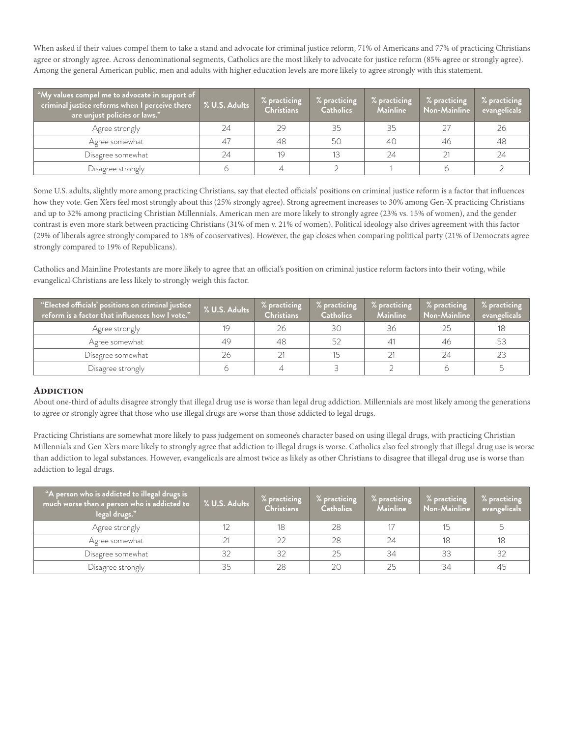When asked if their values compel them to take a stand and advocate for criminal justice reform, 71% of Americans and 77% of practicing Christians agree or strongly agree. Across denominational segments, Catholics are the most likely to advocate for justice reform (85% agree or strongly agree). Among the general American public, men and adults with higher education levels are more likely to agree strongly with this statement.

| "My values compel me to advocate in support of<br>criminal justice reforms when I perceive there<br>are unjust policies or laws." | % U.S. Adults | % practicing<br><b>Christians</b> | % practicing<br><b>Catholics</b> | % practicing<br><b>Mainline</b> | % practicing<br>Non-Mainline | % practicing<br>evangelicals |
|-----------------------------------------------------------------------------------------------------------------------------------|---------------|-----------------------------------|----------------------------------|---------------------------------|------------------------------|------------------------------|
| Agree strongly                                                                                                                    | 24            | 29                                | 35                               | 35                              | 27                           | 26                           |
| Agree somewhat                                                                                                                    | 47            | 48                                | 50                               | 40                              | 46                           | 48                           |
| Disagree somewhat                                                                                                                 | 24            | 19                                |                                  | 24                              |                              | 24                           |
| Disagree strongly                                                                                                                 |               |                                   |                                  |                                 |                              |                              |

Some U.S. adults, slightly more among practicing Christians, say that elected officials' positions on criminal justice reform is a factor that influences how they vote. Gen X'ers feel most strongly about this (25% strongly agree). Strong agreement increases to 30% among Gen-X practicing Christians and up to 32% among practicing Christian Millennials. American men are more likely to strongly agree (23% vs. 15% of women), and the gender contrast is even more stark between practicing Christians (31% of men v. 21% of women). Political ideology also drives agreement with this factor (29% of liberals agree strongly compared to 18% of conservatives). However, the gap closes when comparing political party (21% of Democrats agree strongly compared to 19% of Republicans).

Catholics and Mainline Protestants are more likely to agree that an official's position on criminal justice reform factors into their voting, while evangelical Christians are less likely to strongly weigh this factor.

| "Elected officials' positions on criminal justice<br>reform is a factor that influences how I vote." | % U.S. Adults | $%$ practicing<br><b>Christians</b> | % practicing<br><b>Catholics</b> | % practicing<br><b>Mainline</b> | % practicing<br>Non-Mainline | $%$ practicing<br>evangelicals |
|------------------------------------------------------------------------------------------------------|---------------|-------------------------------------|----------------------------------|---------------------------------|------------------------------|--------------------------------|
| Agree strongly                                                                                       |               | 26                                  | 30                               | 36                              | 25                           |                                |
| Agree somewhat                                                                                       | 49            | 48                                  | 52                               |                                 | 46                           | 53                             |
| Disagree somewhat                                                                                    | 26            |                                     |                                  |                                 | 24                           | -23                            |
| Disagree strongly                                                                                    |               |                                     |                                  |                                 |                              |                                |

#### **ADDICTION**

About one-third of adults disagree strongly that illegal drug use is worse than legal drug addiction. Millennials are most likely among the generations to agree or strongly agree that those who use illegal drugs are worse than those addicted to legal drugs.

Practicing Christians are somewhat more likely to pass judgement on someone's character based on using illegal drugs, with practicing Christian Millennials and Gen X'ers more likely to strongly agree that addiction to illegal drugs is worse. Catholics also feel strongly that illegal drug use is worse than addiction to legal substances. However, evangelicals are almost twice as likely as other Christians to disagree that illegal drug use is worse than addiction to legal drugs.

| "A person who is addicted to illegal drugs is<br>much worse than a person who is addicted to<br>legal drugs." | % U.S. Adults | % practicing<br><b>Christians</b> | % practicing<br><b>Catholics</b> | % practicing<br><b>Mainline</b> | % practicing<br>Non-Mainline | % practicing<br>evangelicals |
|---------------------------------------------------------------------------------------------------------------|---------------|-----------------------------------|----------------------------------|---------------------------------|------------------------------|------------------------------|
| Agree strongly                                                                                                |               | 18                                | 28                               |                                 |                              |                              |
| Agree somewhat                                                                                                |               |                                   | 28                               | 24                              | 18                           | 18                           |
| Disagree somewhat                                                                                             |               | 32                                | 25                               | 34                              | 33                           | 32                           |
| Disagree strongly                                                                                             |               | 28                                | 20                               | 25                              | 34                           | 45                           |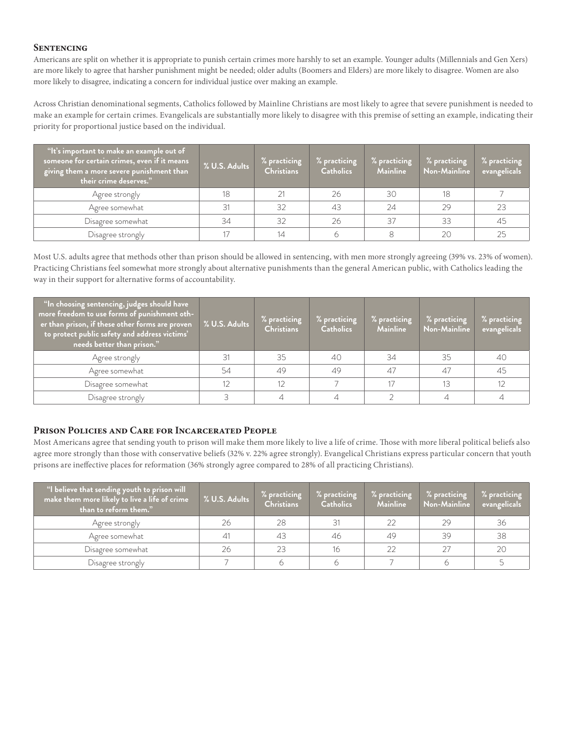### **Sentencing**

Americans are split on whether it is appropriate to punish certain crimes more harshly to set an example. Younger adults (Millennials and Gen Xers) are more likely to agree that harsher punishment might be needed; older adults (Boomers and Elders) are more likely to disagree. Women are also more likely to disagree, indicating a concern for individual justice over making an example.

Across Christian denominational segments, Catholics followed by Mainline Christians are most likely to agree that severe punishment is needed to make an example for certain crimes. Evangelicals are substantially more likely to disagree with this premise of setting an example, indicating their priority for proportional justice based on the individual.

| "It's important to make an example out of<br>someone for certain crimes, even if it means<br>giving them a more severe punishment than<br>their crime deserves." | % U.S. Adults | % practicing<br><b>Christians</b> | % practicing<br><b>Catholics</b> | % practicing<br><b>Mainline</b> | % practicing<br>Non-Mainline | $\frac{1}{2}$ practicing<br>evangelicals |
|------------------------------------------------------------------------------------------------------------------------------------------------------------------|---------------|-----------------------------------|----------------------------------|---------------------------------|------------------------------|------------------------------------------|
| Agree strongly                                                                                                                                                   | 18            | つ1                                | 26                               | 30                              | 18                           |                                          |
| Agree somewhat                                                                                                                                                   | 31            | 32                                | 43                               | 24                              | 29                           | 23                                       |
| Disagree somewhat                                                                                                                                                | 34            | 32                                | 26                               | 37                              | 33                           | 45                                       |
| Disagree strongly                                                                                                                                                |               |                                   |                                  |                                 | 20                           | 25                                       |

Most U.S. adults agree that methods other than prison should be allowed in sentencing, with men more strongly agreeing (39% vs. 23% of women). Practicing Christians feel somewhat more strongly about alternative punishments than the general American public, with Catholics leading the way in their support for alternative forms of accountability.

| $\frac{1}{3}$ "In choosing sentencing, judges should have $\frac{1}{3}$<br>more freedom to use forms of punishment oth-<br>er than prison, if these other forms are proven<br>to protect public safety and address victims'<br>needs better than prison." | % U.S. Adults | % practicing<br><b>Christians</b> | % practicing<br><b>Catholics</b> | % practicing<br><b>Mainline</b> | % practicing<br>Non-Mainline | % practicing<br>evangelicals |
|-----------------------------------------------------------------------------------------------------------------------------------------------------------------------------------------------------------------------------------------------------------|---------------|-----------------------------------|----------------------------------|---------------------------------|------------------------------|------------------------------|
| Agree strongly                                                                                                                                                                                                                                            |               | 35                                | 40                               | 34                              | 35                           | 40                           |
| Agree somewhat                                                                                                                                                                                                                                            |               | 49                                | 49                               | 47                              | 47                           | 45                           |
| Disagree somewhat                                                                                                                                                                                                                                         |               |                                   |                                  |                                 | 13                           |                              |
| Disagree strongly                                                                                                                                                                                                                                         |               |                                   |                                  |                                 |                              |                              |

## **Prison Policies and Care for Incarcerated People**

Most Americans agree that sending youth to prison will make them more likely to live a life of crime. Those with more liberal political beliefs also agree more strongly than those with conservative beliefs (32% v. 22% agree strongly). Evangelical Christians express particular concern that youth prisons are ineffective places for reformation (36% strongly agree compared to 28% of all practicing Christians).

| "I believe that sending youth to prison will<br>make them more likely to live a life of crime<br>than to reform them." | % U.S. Adults | % practicing<br><b>Christians</b> | % practicing<br><b>Catholics</b> | % practicing<br><b>Mainline</b> | % practicing<br>Non-Mainline | % practicing<br>evangelicals |
|------------------------------------------------------------------------------------------------------------------------|---------------|-----------------------------------|----------------------------------|---------------------------------|------------------------------|------------------------------|
| Agree strongly                                                                                                         | 26            | 28                                | 31                               | 22                              | 29                           | 36                           |
| Agree somewhat                                                                                                         | 41            | 43                                | 46                               | 49                              | 39                           | 38                           |
| Disagree somewhat                                                                                                      | 26            |                                   | 16                               |                                 | 27                           | 20                           |
| Disagree strongly                                                                                                      |               |                                   |                                  |                                 |                              |                              |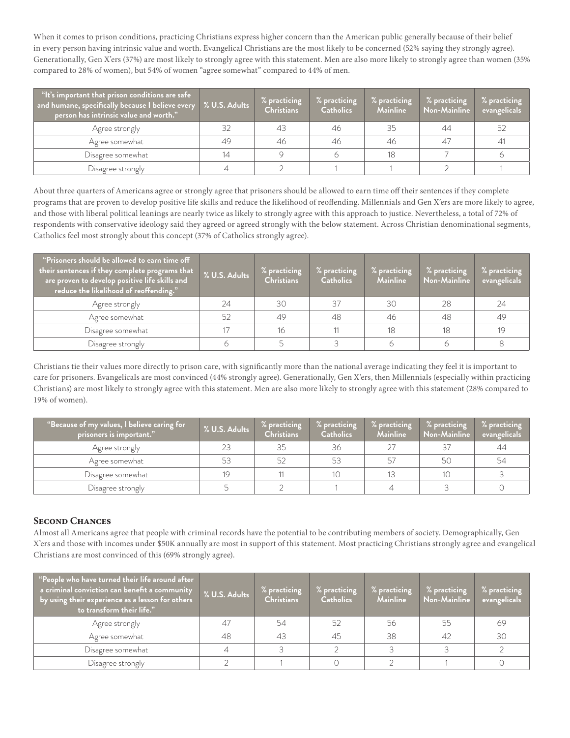When it comes to prison conditions, practicing Christians express higher concern than the American public generally because of their belief in every person having intrinsic value and worth. Evangelical Christians are the most likely to be concerned (52% saying they strongly agree). Generationally, Gen X'ers (37%) are most likely to strongly agree with this statement. Men are also more likely to strongly agree than women (35% compared to 28% of women), but 54% of women "agree somewhat" compared to 44% of men.

| "It's important that prison conditions are safe<br>$\overline{\phantom{\cdot}}$ and humane, specifically because I believe every<br>person has intrinsic value and worth." | % U.S. Adults | % practicing<br><b>Christians</b> | % practicing<br><b>Catholics</b> | % practicing<br><b>Mainline</b> | % practicing<br>Non-Mainline | % practicing<br>evangelicals |
|----------------------------------------------------------------------------------------------------------------------------------------------------------------------------|---------------|-----------------------------------|----------------------------------|---------------------------------|------------------------------|------------------------------|
| Agree strongly                                                                                                                                                             | 32            | 43                                | 46                               | 35                              | 44                           | -52                          |
| Agree somewhat                                                                                                                                                             | 49            | 46                                | 46                               | 46                              | 47                           | 41                           |
| Disagree somewhat                                                                                                                                                          |               |                                   |                                  | 18                              |                              |                              |
| Disagree strongly                                                                                                                                                          |               |                                   |                                  |                                 |                              |                              |

About three quarters of Americans agree or strongly agree that prisoners should be allowed to earn time off their sentences if they complete programs that are proven to develop positive life skills and reduce the likelihood of reoffending. Millennials and Gen X'ers are more likely to agree, and those with liberal political leanings are nearly twice as likely to strongly agree with this approach to justice. Nevertheless, a total of 72% of respondents with conservative ideology said they agreed or agreed strongly with the below statement. Across Christian denominational segments, Catholics feel most strongly about this concept (37% of Catholics strongly agree).

| "Prisoners should be allowed to earn time off<br>their sentences if they complete programs that <b>i</b><br>are proven to develop positive life skills and<br>reduce the likelihood of reoffending." | % U.S. Adults | % practicing<br><b>Christians</b> | % practicing<br><b>Catholics</b> | % practicing<br><b>Mainline</b> | % practicing<br>Non-Mainline | % practicing<br>evangelicals |
|------------------------------------------------------------------------------------------------------------------------------------------------------------------------------------------------------|---------------|-----------------------------------|----------------------------------|---------------------------------|------------------------------|------------------------------|
| Agree strongly                                                                                                                                                                                       | 24            | 30                                | 37                               | 30                              | 28                           | -24                          |
| Agree somewhat                                                                                                                                                                                       | 52            | 49                                | 48                               | 46                              | 48                           | -49                          |
| Disagree somewhat                                                                                                                                                                                    |               | 16                                |                                  | 18                              | 18                           | 19                           |
| Disagree strongly                                                                                                                                                                                    |               |                                   |                                  |                                 |                              |                              |

Christians tie their values more directly to prison care, with significantly more than the national average indicating they feel it is important to care for prisoners. Evangelicals are most convinced (44% strongly agree). Generationally, Gen X'ers, then Millennials (especially within practicing Christians) are most likely to strongly agree with this statement. Men are also more likely to strongly agree with this statement (28% compared to 19% of women).

| "Because of my values, I believe caring for<br>$\overline{\mathbf{p}}$ risoners is important." $\overline{\phantom{a}}$ | % U.S. Adults | % practicing<br><b>Christians</b> | % practicing<br><b>Catholics</b> | % practicing<br><b>Mainline</b> | % practicing<br>Non-Mainline | % practicing<br>evangelicals |
|-------------------------------------------------------------------------------------------------------------------------|---------------|-----------------------------------|----------------------------------|---------------------------------|------------------------------|------------------------------|
| Agree strongly                                                                                                          | 23            | 35                                | 36                               |                                 |                              | 44                           |
| Agree somewhat                                                                                                          | 53            |                                   | 53                               |                                 | 50                           | -54                          |
| Disagree somewhat                                                                                                       | 19            |                                   |                                  |                                 | 10                           |                              |
| Disagree strongly                                                                                                       |               |                                   |                                  |                                 |                              |                              |

## **Second Chances**

Almost all Americans agree that people with criminal records have the potential to be contributing members of society. Demographically, Gen X'ers and those with incomes under \$50K annually are most in support of this statement. Most practicing Christians strongly agree and evangelical Christians are most convinced of this (69% strongly agree).

| "People who have turned their life around after<br>a criminal conviction can benefit a community<br>by using their experience as a lesson for others<br>to transform their life." | % U.S. Adults | % practicing<br><b>Christians</b> | % practicing<br><b>Catholics</b> | % practicing<br><b>Mainline</b> | % practicing<br>Non-Mainline | % practicing<br>evangelicals |
|-----------------------------------------------------------------------------------------------------------------------------------------------------------------------------------|---------------|-----------------------------------|----------------------------------|---------------------------------|------------------------------|------------------------------|
| Agree strongly                                                                                                                                                                    | 47            | -54                               | 52                               | 56                              | 55                           | -69                          |
| Agree somewhat                                                                                                                                                                    | 48            | 43                                | 45                               | 38                              | 42                           | 30                           |
| Disagree somewhat                                                                                                                                                                 |               |                                   |                                  |                                 |                              |                              |
| Disagree strongly                                                                                                                                                                 |               |                                   |                                  |                                 |                              |                              |